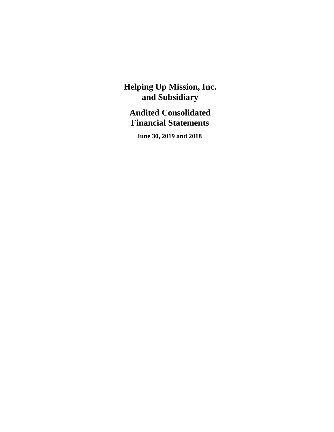# **Audited Consolidated Financial Statements**

 **June 30, 2019 and 2018**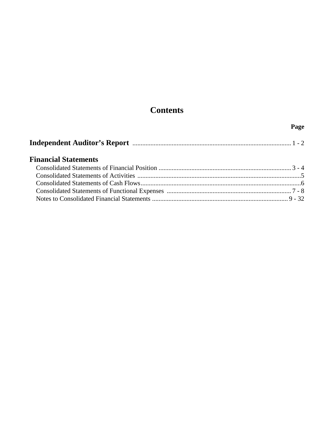# **Contents**

### **Page**

|--|--|--|--|

## **Financial Statements**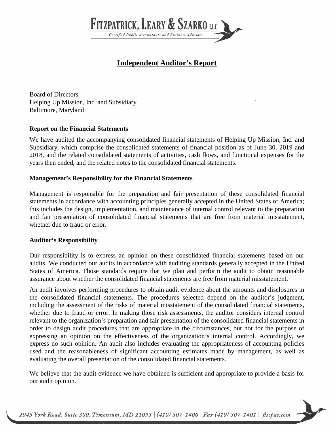

## **Independent Auditor's Report**

Board of Directors Helping Up Mission, Inc. and Subsidiary Baltimore, Maryland

#### **Report on the Financial Statements**

We have audited the accompanying consolidated financial statements of Helping Up Mission, Inc. and Subsidiary, which comprise the consolidated statements of financial position as of June 30, 2019 and 2018, and the related consolidated statements of activities, cash flows, and functional expenses for the years then ended, and the related notes to the consolidated financial statements.

#### **Management's Responsibility for the Financial Statements**

Management is responsible for the preparation and fair presentation of these consolidated financial statements in accordance with accounting principles generally accepted in the United States of America; this includes the design, implementation, and maintenance of internal control relevant to the preparation and fair presentation of consolidated financial statements that are free from material misstatement, whether due to fraud or error.

#### **Auditor's Responsibility**

Our responsibility is to express an opinion on these consolidated financial statements based on our audits. We conducted our audits in accordance with auditing standards generally accepted in the United States of America. Those standards require that we plan and perform the audit to obtain reasonable assurance about whether the consolidated financial statements are free from material misstatement.

An audit involves performing procedures to obtain audit evidence about the amounts and disclosures in the consolidated financial statements. The procedures selected depend on the auditor's judgment, including the assessment of the risks of material misstatement of the consolidated financial statements, whether due to fraud or error. In making those risk assessments, the auditor considers internal control relevant to the organization's preparation and fair presentation of the consolidated financial statements in order to design audit procedures that are appropriate in the circumstances, but not for the purpose of expressing an opinion on the effectiveness of the organization's internal control. Accordingly, we express no such opinion. An audit also includes evaluating the appropriateness of accounting policies used and the reasonableness of significant accounting estimates made by management, as well as evaluating the overall presentation of the consolidated financial statements.

We believe that the audit evidence we have obtained is sufficient and appropriate to provide a basis for our audit opinion.

2045 York Road, Suite 300, Timonium, MD 21093 | (410) 307-1400 | Fax (410) 307-1401 | flscpas.com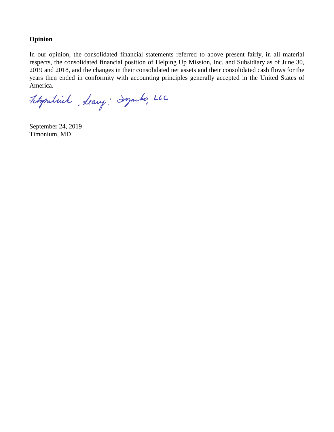#### **Opinion**

In our opinion, the consolidated financial statements referred to above present fairly, in all material respects, the consolidated financial position of Helping Up Mission, Inc. and Subsidiary as of June 30, 2019 and 2018, and the changes in their consolidated net assets and their consolidated cash flows for the years then ended in conformity with accounting principles generally accepted in the United States of America.

Fitopatrick, Leavy; Syarks, LLC

September 24, 2019 Timonium, MD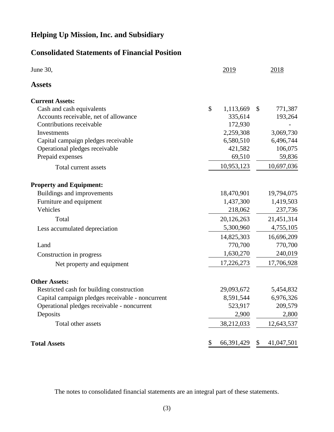## **Consolidated Statements of Financial Position**

| June 30,                                         | 2019               |               | 2018       |
|--------------------------------------------------|--------------------|---------------|------------|
| <b>Assets</b>                                    |                    |               |            |
| <b>Current Assets:</b>                           |                    |               |            |
| Cash and cash equivalents                        | \$<br>1,113,669    | $\mathcal{S}$ | 771,387    |
| Accounts receivable, net of allowance            | 335,614            |               | 193,264    |
| Contributions receivable                         | 172,930            |               |            |
| Investments                                      | 2,259,308          |               | 3,069,730  |
| Capital campaign pledges receivable              | 6,580,510          |               | 6,496,744  |
| Operational pledges receivable                   | 421,582            |               | 106,075    |
| Prepaid expenses                                 | 69,510             |               | 59,836     |
| Total current assets                             | 10,953,123         |               | 10,697,036 |
| <b>Property and Equipment:</b>                   |                    |               |            |
| Buildings and improvements                       | 18,470,901         |               | 19,794,075 |
| Furniture and equipment                          | 1,437,300          |               | 1,419,503  |
| Vehicles                                         | 218,062            |               | 237,736    |
| Total                                            | 20,126,263         |               | 21,451,314 |
| Less accumulated depreciation                    | 5,300,960          |               | 4,755,105  |
|                                                  | 14,825,303         |               | 16,696,209 |
| Land                                             | 770,700            |               | 770,700    |
| Construction in progress                         | 1,630,270          |               | 240,019    |
| Net property and equipment                       | 17,226,273         |               | 17,706,928 |
| <b>Other Assets:</b>                             |                    |               |            |
| Restricted cash for building construction        | 29,093,672         |               | 5,454,832  |
| Capital campaign pledges receivable - noncurrent | 8,591,544          |               | 6,976,326  |
| Operational pledges receivable - noncurrent      | 523,917            |               | 209,579    |
| Deposits                                         | 2,900              |               | 2,800      |
| Total other assets                               | 38,212,033         |               | 12,643,537 |
|                                                  | \$<br>66, 391, 429 | \$            | 41,047,501 |
| <b>Total Assets</b>                              |                    |               |            |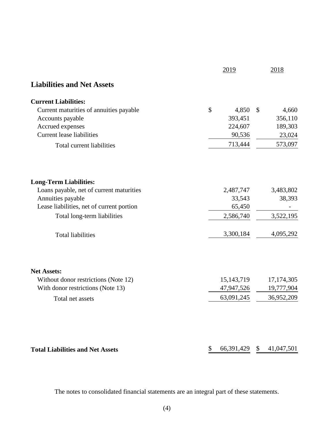|                                           | 2019                | 2018         |
|-------------------------------------------|---------------------|--------------|
| <b>Liabilities and Net Assets</b>         |                     |              |
| <b>Current Liabilities:</b>               |                     |              |
| Current maturities of annuities payable   | \$<br>4,850         | \$<br>4,660  |
| Accounts payable                          | 393,451             | 356,110      |
| Accrued expenses                          | 224,607             | 189,303      |
| <b>Current lease liabilities</b>          | 90,536              | 23,024       |
| Total current liabilities                 | 713,444             | 573,097      |
| <b>Long-Term Liabilities:</b>             |                     |              |
| Loans payable, net of current maturities  | 2,487,747           | 3,483,802    |
| Annuities payable                         | 33,543              | 38,393       |
| Lease liabilities, net of current portion | 65,450              |              |
| Total long-term liabilities               | 2,586,740           | 3,522,195    |
|                                           |                     |              |
| <b>Total liabilities</b>                  | 3,300,184           | 4,095,292    |
|                                           |                     |              |
| <b>Net Assets:</b>                        |                     |              |
| Without donor restrictions (Note 12)      | 15, 143, 719        | 17, 174, 305 |
| With donor restrictions (Note 13)         | 47,947,526          | 19,777,904   |
| Total net assets                          | 63,091,245          | 36,952,209   |
|                                           |                     |              |
| <b>Total Liabilities and Net Assets</b>   | \$<br>66,391,429 \$ | 41,047,501   |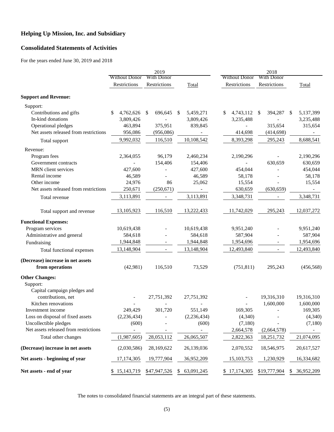### **Consolidated Statements of Activities**

For the years ended June 30, 2019 and 2018

|                                                                |                      | 2019                     |                  |                        | 2018                      |                            |
|----------------------------------------------------------------|----------------------|--------------------------|------------------|------------------------|---------------------------|----------------------------|
|                                                                | <b>Without Donor</b> | With Donor               |                  | <b>Without Donor</b>   | With Donor                |                            |
|                                                                | Restrictions         | Restrictions             | Total            | Restrictions           | Restrictions              | Total                      |
| <b>Support and Revenue:</b>                                    |                      |                          |                  |                        |                           |                            |
| Support:                                                       |                      |                          |                  |                        |                           |                            |
| Contributions and gifts                                        | \$<br>4,762,626      | 696,645<br>\$            | 5,459,271<br>\$  | 4,743,112 \$<br>\$     | 394,287                   | 5,137,399<br>$\mathbb{S}$  |
| In-kind donations                                              | 3,809,426            |                          | 3,809,426        | 3,235,488              |                           | 3,235,488                  |
| Operational pledges                                            | 463,894              | 375,951                  | 839,845          |                        | 315,654                   | 315,654                    |
| Net assets released from restrictions                          | 956,086              | (956, 086)               |                  | 414,698                | (414, 698)                |                            |
| Total support                                                  | 9,992,032            | 116,510                  | 10,108,542       | 8,393,298              | 295,243                   | 8,688,541                  |
| Revenue:                                                       |                      |                          |                  |                        |                           |                            |
| Program fees                                                   | 2,364,055            | 96,179                   | 2,460,234        | 2,190,296              |                           | 2,190,296                  |
| Government contracts                                           |                      | 154,406                  | 154,406          |                        | 630,659                   | 630,659                    |
| MRN client services                                            | 427,600              |                          | 427,600          | 454,044                |                           | 454,044                    |
| Rental income                                                  | 46,589               |                          | 46,589           | 58,178                 |                           | 58,178                     |
| Other income                                                   | 24,976               | 86                       | 25,062           | 15,554                 |                           | 15,554                     |
| Net assets released from restrictions                          | 250,671              | (250, 671)               |                  | 630,659                | (630, 659)                |                            |
| Total revenue                                                  | 3,113,891            | $\overline{\phantom{a}}$ | 3,113,891        | 3,348,731              | $\overline{\phantom{a}}$  | 3,348,731                  |
| Total support and revenue                                      | 13,105,923           | 116,510                  | 13,222,433       | 11,742,029             | 295,243                   | 12,037,272                 |
| <b>Functional Expenses:</b>                                    |                      |                          |                  |                        |                           |                            |
| Program services                                               | 10,619,438           |                          | 10,619,438       | 9,951,240              |                           | 9,951,240                  |
| Administrative and general                                     | 584,618              |                          | 584,618          | 587,904                |                           | 587,904                    |
| Fundraising                                                    | 1,944,848            |                          | 1,944,848        | 1,954,696              |                           | 1,954,696                  |
| Total functional expenses                                      | 13,148,904           | $\overline{\phantom{a}}$ | 13,148,904       | 12,493,840             | $\overline{\phantom{a}}$  | 12,493,840                 |
| (Decrease) increase in net assets                              |                      |                          |                  |                        |                           |                            |
| from operations                                                | (42,981)             | 116,510                  | 73,529           | (751, 811)             | 295,243                   | (456, 568)                 |
| <b>Other Changes:</b>                                          |                      |                          |                  |                        |                           |                            |
| Support:                                                       |                      |                          |                  |                        |                           |                            |
| Capital campaign pledges and                                   |                      |                          |                  |                        |                           |                            |
| contributions, net                                             |                      | 27,751,392               | 27,751,392       |                        | 19,316,310                | 19,316,310                 |
| Kitchen renovations                                            |                      |                          |                  |                        | 1,600,000                 | 1,600,000                  |
| Investment income                                              | 249,429              | 301,720                  | 551,149          | 169,305                |                           | 169,305                    |
| Loss on disposal of fixed assets                               | (2, 236, 434)        |                          | (2, 236, 434)    | (4, 340)               |                           | (4,340)                    |
| Uncollectible pledges<br>Net assets released from restrictions | (600)                |                          | (600)            | (7,180)                |                           | (7,180)                    |
| Total other changes                                            | (1,987,605)          | 28,053,112               | 26,065,507       | 2,664,578<br>2,822,363 | (2,664,578)<br>18,251,732 | 21,074,095                 |
|                                                                |                      |                          |                  |                        |                           |                            |
| (Decrease) increase in net assets                              | (2,030,586)          | 28,169,622               | 26,139,036       | 2,070,552              | 18,546,975                | 20,617,527                 |
| Net assets - beginning of year                                 | 17,174,305           | 19,777,904               | 36,952,209       | 15, 103, 753           | 1,230,929                 | 16,334,682                 |
| Net assets - end of year                                       | \$15,143,719         | \$47,947,526             | 63,091,245<br>\$ | \$17,174,305           | \$19,777,904              | 36,952,209<br>$\mathbb{S}$ |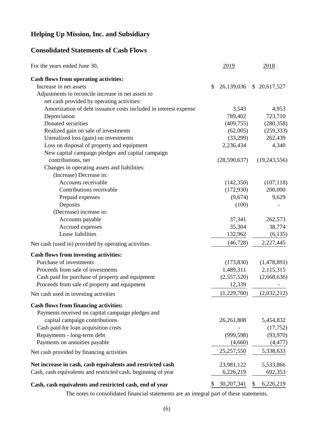### **Consolidated Statements of Cash Flows**

| For the years ended June 30,                                     |    | 2019         | 2018            |
|------------------------------------------------------------------|----|--------------|-----------------|
| Cash flows from operating activities:                            |    |              |                 |
| Increase in net assets                                           | \$ | 26,139,036   | \$20,617,527    |
| Adjustments to reconcile increase in net assets to               |    |              |                 |
| net cash provided by operating activities:                       |    |              |                 |
| Amortization of debt issuance costs included in interest expense |    | 3,543        | 4,953           |
| Depreciation                                                     |    | 789,402      | 723,710         |
| Donated securities                                               |    | (409, 755)   | (280, 358)      |
| Realized gain on sale of investments                             |    | (62,005)     | (259, 333)      |
| Unrealized loss (gain) on investments                            |    | (33,299)     | 262,439         |
| Loss on disposal of property and equipment                       |    | 2,236,434    | 4,340           |
| New capital campaign pledges and capital campaign                |    |              |                 |
| contributions, net                                               |    | (28,590,637) | (19, 243, 556)  |
| Changes in operating assets and liabilities:                     |    |              |                 |
| (Increase) Decrease in:                                          |    |              |                 |
| Accounts receivable                                              |    | (142,350)    | (107, 118)      |
| Contributions receivable                                         |    | (172,930)    | 200,000         |
| Prepaid expenses                                                 |    | (9,674)      | 9,629           |
| Deposits                                                         |    | (100)        |                 |
| (Decrease) increase in:                                          |    |              |                 |
| Accounts payable                                                 |    | 37,341       | 262,573         |
| Accrued expenses                                                 |    | 35,304       | 38,774          |
| Lease liabilities                                                |    | 132,962      | (6, 135)        |
| Net cash (used in) provided by operating activities              |    | (46, 728)    | 2,227,445       |
| <b>Cash flows from investing activities:</b>                     |    |              |                 |
| Purchase of investments                                          |    | (173, 830)   | (1,478,891)     |
| Proceeds from sale of investments                                |    | 1,489,311    | 2,115,315       |
| Cash paid for purchase of property and equipment                 |    | (2,557,520)  | (2,668,636)     |
| Proceeds from sale of property and equipment                     |    | 12,339       |                 |
| Net cash used in investing activities                            |    | (1,229,700)  | (2,032,212)     |
| <b>Cash flows from financing activities:</b>                     |    |              |                 |
| Payments received on capital campaign pledges and                |    |              |                 |
| capital campaign contributions                                   |    | 26,261,808   | 5,454,832       |
| Cash paid for loan acquisition costs                             |    |              | (17,752)        |
| Repayments - long-term debt                                      |    | (999, 598)   | (93, 970)       |
| Payments on annuities payable                                    |    | (4,660)      | (4, 477)        |
| Net cash provided by financing activities                        |    | 25,257,550   | 5,338,633       |
| Net increase in cash, cash equivalents and restricted cash       |    | 23,981,122   | 5,533,866       |
| Cash, cash equivalents and restricted cash, beginning of year    |    | 6,226,219    | 692,353         |
| Cash, cash equivalents and restricted cash, end of year          | S. | 30, 207, 341 | \$<br>6,226,219 |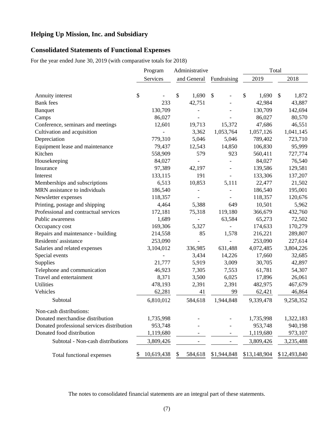### **Consolidated Statements of Functional Expenses**

For the year ended June 30, 2019 (with comparative totals for 2018)

|                                            | Program          | Administrative |                                 |                        | Total        |
|--------------------------------------------|------------------|----------------|---------------------------------|------------------------|--------------|
|                                            | Services         | and General    | Fundraising                     | 2019                   | 2018         |
|                                            |                  |                |                                 |                        |              |
| Annuity interest                           | \$               | \$             | 1,690<br>$\mathcal{S}$          | $\mathcal{S}$<br>1,690 | \$<br>1,872  |
| <b>Bank</b> fees                           | 233              | 42,751         |                                 | 42,984                 | 43,887       |
| Banquet                                    | 130,709          |                |                                 | 130,709                | 142,694      |
| Camps                                      | 86,027           |                |                                 | 86,027                 | 80,570       |
| Conference, seminars and meetings          | 12,601           | 19,713         | 15,372                          | 47,686                 | 46,551       |
| Cultivation and acquisition                |                  |                | 3,362<br>1,053,764              | 1,057,126              | 1,041,145    |
| Depreciation                               | 779,310          |                | 5,046<br>5,046                  | 789,402                | 723,710      |
| Equipment lease and maintenance            | 79,437           | 12,543         | 14,850                          | 106,830                | 95,999       |
| Kitchen                                    | 558,909          |                | 579<br>923                      | 560,411                | 727,774      |
| Housekeeping                               | 84,027           |                | $\overline{a}$                  | 84,027                 | 76,540       |
| Insurance                                  | 97,389           | 42,197         |                                 | 139,586                | 129,581      |
| Interest                                   | 133,115          |                | 191<br>$\overline{\phantom{a}}$ | 133,306                | 137,207      |
| Memberships and subscriptions              | 6,513            | 10,853         | 5,111                           | 22,477                 | 21,502       |
| MRN assistance to individuals              | 186,540          |                | $\overline{\phantom{a}}$        | 186,540                | 195,001      |
| Newsletter expenses                        | 118,357          |                |                                 | 118,357                | 120,676      |
| Printing, postage and shipping             | 4,464            |                | 5,388<br>649                    | 10,501                 | 5,962        |
| Professional and contractual services      | 172,181          | 75,318         | 119,180                         | 366,679                | 432,760      |
| Public awareness                           | 1,689            |                | 63,584                          | 65,273                 | 72,502       |
| Occupancy cost                             | 169,306          |                | 5,327                           | 174,633                | 170,279      |
| Repairs and maintenance - building         | 214,558          |                | 1,578<br>85                     | 216,221                | 289,807      |
| Residents' assistance                      | 253,090          |                | $\overline{a}$                  | 253,090                | 227,614      |
| Salaries and related expenses              | 3,104,012        | 336,985        | 631,488                         | 4,072,485              | 3,804,226    |
| Special events                             |                  |                | 3,434<br>14,226                 | 17,660                 | 32,685       |
| Supplies                                   | 21,777           |                | 5,919<br>3,009                  | 30,705                 | 42,897       |
| Telephone and communication                | 46,923           |                | 7,305<br>7,553                  | 61,781                 | 54,307       |
| Travel and entertainment                   | 8,371            |                | 6,025<br>3,500                  | 17,896                 | 26,061       |
| <b>Utilities</b>                           | 478,193          |                | 2,391<br>2,391                  | 482,975                | 467,679      |
| Vehicles                                   | 62,281           |                | 41<br>99                        | 62,421                 | 46,864       |
| Subtotal                                   | 6,810,012        | 584,618        | 1,944,848                       | 9,339,478              | 9,258,352    |
| Non-cash distributions:                    |                  |                |                                 |                        |              |
| Donated merchandise distribution           | 1,735,998        |                |                                 | 1,735,998              | 1,322,183    |
| Donated professional services distribution | 953,748          |                |                                 | 953,748                | 940,198      |
| Donated food distribution                  | 1,119,680        |                |                                 | 1,119,680              | 973,107      |
| Subtotal - Non-cash distributions          | 3,809,426        |                | $\overline{\phantom{0}}$        | 3,809,426              | 3,235,488    |
| Total functional expenses                  | 10,619,438<br>\$ | 584,618<br>\$  | \$1,944,848                     | \$13,148,904           | \$12,493,840 |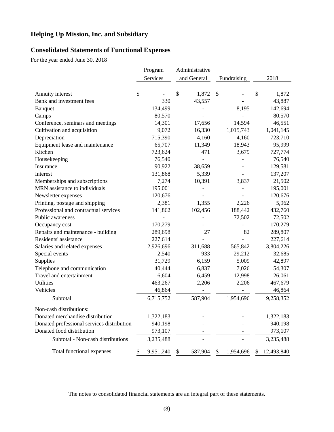### **Consolidated Statements of Functional Expenses**

For the year ended June 30, 2018

|                                            | Program         | Administrative |                 |                 |
|--------------------------------------------|-----------------|----------------|-----------------|-----------------|
|                                            | Services        | and General    | Fundraising     | 2018            |
|                                            |                 |                |                 |                 |
| Annuity interest                           | \$              | \$<br>1,872    | \$              | \$<br>1,872     |
| Bank and investment fees                   | 330             | 43,557         |                 | 43,887          |
| <b>Banquet</b>                             | 134,499         |                | 8,195           | 142,694         |
| Camps                                      | 80,570          |                |                 | 80,570          |
| Conference, seminars and meetings          | 14,301          | 17,656         | 14,594          | 46,551          |
| Cultivation and acquisition                | 9,072           | 16,330         | 1,015,743       | 1,041,145       |
| Depreciation                               | 715,390         | 4,160          | 4,160           | 723,710         |
| Equipment lease and maintenance            | 65,707          | 11,349         | 18,943          | 95,999          |
| Kitchen                                    | 723,624         | 471            | 3,679           | 727,774         |
| Housekeeping                               | 76,540          | $\overline{a}$ |                 | 76,540          |
| Insurance                                  | 90,922          | 38,659         |                 | 129,581         |
| Interest                                   | 131,868         | 5,339          |                 | 137,207         |
| Memberships and subscriptions              | 7,274           | 10,391         | 3,837           | 21,502          |
| MRN assistance to individuals              | 195,001         |                |                 | 195,001         |
| Newsletter expenses                        | 120,676         |                |                 | 120,676         |
| Printing, postage and shipping             | 2,381           | 1,355          | 2,226           | 5,962           |
| Professional and contractual services      | 141,862         | 102,456        | 188,442         | 432,760         |
| Public awareness                           |                 |                | 72,502          | 72,502          |
| Occupancy cost                             | 170,279         |                |                 | 170,279         |
| Repairs and maintenance - building         | 289,698         | 27             | 82              | 289,807         |
| Residents' assistance                      | 227,614         |                |                 | 227,614         |
| Salaries and related expenses              | 2,926,696       | 311,688        | 565,842         | 3,804,226       |
| Special events                             | 2,540           | 933            | 29,212          | 32,685          |
| Supplies                                   | 31,729          | 6,159          | 5,009           | 42,897          |
| Telephone and communication                | 40,444          | 6,837          | 7,026           | 54,307          |
| Travel and entertainment                   | 6,604           | 6,459          | 12,998          | 26,061          |
| <b>Utilities</b>                           | 463,267         | 2,206          | 2,206           | 467,679         |
| Vehicles                                   | 46,864          |                |                 | 46,864          |
| Subtotal                                   | 6,715,752       | 587,904        | 1,954,696       | 9,258,352       |
| Non-cash distributions:                    |                 |                |                 |                 |
| Donated merchandise distribution           | 1,322,183       |                |                 | 1,322,183       |
| Donated professional services distribution | 940,198         |                |                 | 940,198         |
| Donated food distribution                  | 973,107         |                |                 | 973,107         |
| Subtotal - Non-cash distributions          | 3,235,488       |                |                 | 3,235,488       |
| Total functional expenses                  | \$<br>9,951,240 | \$<br>587,904  | 1,954,696<br>\$ | 12,493,840<br>S |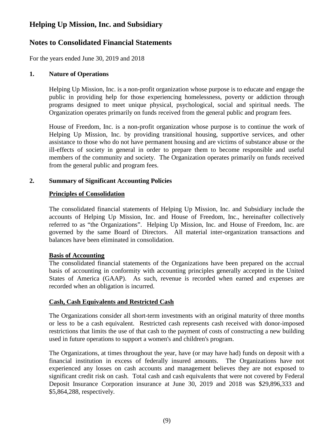### **Notes to Consolidated Financial Statements**

For the years ended June 30, 2019 and 2018

### **1. Nature of Operations**

Helping Up Mission, Inc. is a non-profit organization whose purpose is to educate and engage the public in providing help for those experiencing homelessness, poverty or addiction through programs designed to meet unique physical, psychological, social and spiritual needs. The Organization operates primarily on funds received from the general public and program fees.

House of Freedom, Inc. is a non-profit organization whose purpose is to continue the work of Helping Up Mission, Inc. by providing transitional housing, supportive services, and other assistance to those who do not have permanent housing and are victims of substance abuse or the ill-effects of society in general in order to prepare them to become responsible and useful members of the community and society. The Organization operates primarily on funds received from the general public and program fees.

### **2. Summary of Significant Accounting Policies**

#### **Principles of Consolidation**

The consolidated financial statements of Helping Up Mission, Inc. and Subsidiary include the accounts of Helping Up Mission, Inc. and House of Freedom, Inc., hereinafter collectively referred to as "the Organizations". Helping Up Mission, Inc. and House of Freedom, Inc. are governed by the same Board of Directors. All material inter-organization transactions and balances have been eliminated in consolidation.

#### **Basis of Accounting**

The consolidated financial statements of the Organizations have been prepared on the accrual basis of accounting in conformity with accounting principles generally accepted in the United States of America (GAAP). As such, revenue is recorded when earned and expenses are recorded when an obligation is incurred.

#### **Cash, Cash Equivalents and Restricted Cash**

The Organizations consider all short-term investments with an original maturity of three months or less to be a cash equivalent. Restricted cash represents cash received with donor-imposed restrictions that limits the use of that cash to the payment of costs of constructing a new building used in future operations to support a women's and children's program.

The Organizations, at times throughout the year, have (or may have had) funds on deposit with a financial institution in excess of federally insured amounts. The Organizations have not experienced any losses on cash accounts and management believes they are not exposed to significant credit risk on cash. Total cash and cash equivalents that were not covered by Federal Deposit Insurance Corporation insurance at June 30, 2019 and 2018 was \$29,896,333 and \$5,864,288, respectively.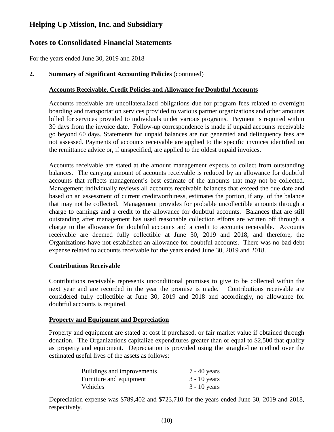### **Notes to Consolidated Financial Statements**

For the years ended June 30, 2019 and 2018

### **2. Summary of Significant Accounting Policies** (continued)

### **Accounts Receivable, Credit Policies and Allowance for Doubtful Accounts**

Accounts receivable are uncollateralized obligations due for program fees related to overnight boarding and transportation services provided to various partner organizations and other amounts billed for services provided to individuals under various programs. Payment is required within 30 days from the invoice date. Follow-up correspondence is made if unpaid accounts receivable go beyond 60 days. Statements for unpaid balances are not generated and delinquency fees are not assessed. Payments of accounts receivable are applied to the specific invoices identified on the remittance advice or, if unspecified, are applied to the oldest unpaid invoices.

Accounts receivable are stated at the amount management expects to collect from outstanding balances. The carrying amount of accounts receivable is reduced by an allowance for doubtful accounts that reflects management's best estimate of the amounts that may not be collected. Management individually reviews all accounts receivable balances that exceed the due date and based on an assessment of current creditworthiness, estimates the portion, if any, of the balance that may not be collected. Management provides for probable uncollectible amounts through a charge to earnings and a credit to the allowance for doubtful accounts. Balances that are still outstanding after management has used reasonable collection efforts are written off through a charge to the allowance for doubtful accounts and a credit to accounts receivable. Accounts receivable are deemed fully collectible at June 30, 2019 and 2018, and therefore, the Organizations have not established an allowance for doubtful accounts. There was no bad debt expense related to accounts receivable for the years ended June 30, 2019 and 2018.

### **Contributions Receivable**

Contributions receivable represents unconditional promises to give to be collected within the next year and are recorded in the year the promise is made. Contributions receivable are considered fully collectible at June 30, 2019 and 2018 and accordingly, no allowance for doubtful accounts is required.

### **Property and Equipment and Depreciation**

Property and equipment are stated at cost if purchased, or fair market value if obtained through donation. The Organizations capitalize expenditures greater than or equal to \$2,500 that qualify as property and equipment. Depreciation is provided using the straight-line method over the estimated useful lives of the assets as follows:

| Buildings and improvements | 7 - 40 years   |
|----------------------------|----------------|
| Furniture and equipment    | $3 - 10$ years |
| Vehicles                   | $3 - 10$ years |

Depreciation expense was \$789,402 and \$723,710 for the years ended June 30, 2019 and 2018, respectively.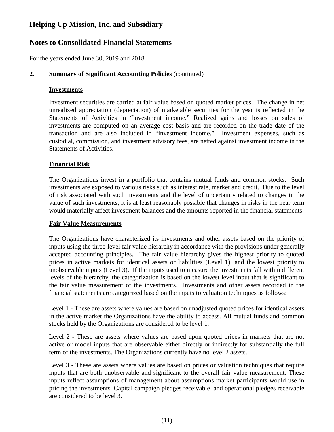### **Notes to Consolidated Financial Statements**

For the years ended June 30, 2019 and 2018

### **2. Summary of Significant Accounting Policies** (continued)

### **Investments**

Investment securities are carried at fair value based on quoted market prices. The change in net unrealized appreciation (depreciation) of marketable securities for the year is reflected in the Statements of Activities in "investment income." Realized gains and losses on sales of investments are computed on an average cost basis and are recorded on the trade date of the transaction and are also included in "investment income." Investment expenses, such as custodial, commission, and investment advisory fees, are netted against investment income in the Statements of Activities.

### **Financial Risk**

The Organizations invest in a portfolio that contains mutual funds and common stocks. Such investments are exposed to various risks such as interest rate, market and credit. Due to the level of risk associated with such investments and the level of uncertainty related to changes in the value of such investments, it is at least reasonably possible that changes in risks in the near term would materially affect investment balances and the amounts reported in the financial statements.

### **Fair Value Measurements**

The Organizations have characterized its investments and other assets based on the priority of inputs using the three-level fair value hierarchy in accordance with the provisions under generally accepted accounting principles. The fair value hierarchy gives the highest priority to quoted prices in active markets for identical assets or liabilities (Level 1), and the lowest priority to unobservable inputs (Level 3). If the inputs used to measure the investments fall within different levels of the hierarchy, the categorization is based on the lowest level input that is significant to the fair value measurement of the investments. Investments and other assets recorded in the financial statements are categorized based on the inputs to valuation techniques as follows:

Level 1 - These are assets where values are based on unadjusted quoted prices for identical assets in the active market the Organizations have the ability to access. All mutual funds and common stocks held by the Organizations are considered to be level 1.

Level 2 - These are assets where values are based upon quoted prices in markets that are not active or model inputs that are observable either directly or indirectly for substantially the full term of the investments. The Organizations currently have no level 2 assets.

Level 3 - These are assets where values are based on prices or valuation techniques that require inputs that are both unobservable and significant to the overall fair value measurement. These inputs reflect assumptions of management about assumptions market participants would use in pricing the investments. Capital campaign pledges receivable and operational pledges receivable are considered to be level 3.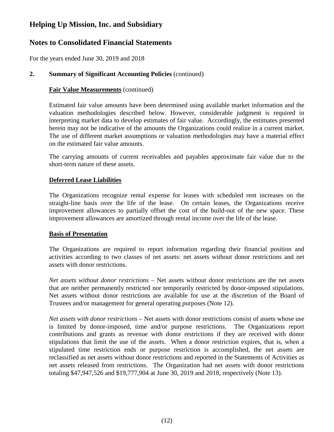### **Notes to Consolidated Financial Statements**

For the years ended June 30, 2019 and 2018

### **2. Summary of Significant Accounting Policies** (continued)

### **Fair Value Measurements** (continued)

Estimated fair value amounts have been determined using available market information and the valuation methodologies described below. However, considerable judgment is required in interpreting market data to develop estimates of fair value. Accordingly, the estimates presented herein may not be indicative of the amounts the Organizations could realize in a current market. The use of different market assumptions or valuation methodologies may have a material effect on the estimated fair value amounts.

The carrying amounts of current receivables and payables approximate fair value due to the short-term nature of these assets.

### **Deferred Lease Liabilities**

The Organizations recognize rental expense for leases with scheduled rent increases on the straight-line basis over the life of the lease. On certain leases, the Organizations receive improvement allowances to partially offset the cost of the build-out of the new space. These improvement allowances are amortized through rental income over the life of the lease.

### **Basis of Presentation**

The Organizations are required to report information regarding their financial position and activities according to two classes of net assets: net assets without donor restrictions and net assets with donor restrictions.

*Net assets without donor restrictions* – Net assets without donor restrictions are the net assets that are neither permanently restricted nor temporarily restricted by donor-imposed stipulations. Net assets without donor restrictions are available for use at the discretion of the Board of Trustees and/or management for general operating purposes (Note 12).

*Net assets with donor restrictions* – Net assets with donor restrictions consist of assets whose use is limited by donor-imposed, time and/or purpose restrictions. The Organizations report contributions and grants as revenue with donor restrictions if they are received with donor stipulations that limit the use of the assets. When a donor restriction expires, that is, when a stipulated time restriction ends or purpose restriction is accomplished, the net assets are reclassified as net assets without donor restrictions and reported in the Statements of Activities as net assets released from restrictions. The Organization had net assets with donor restrictions totaling \$47,947,526 and \$19,777,904 at June 30, 2019 and 2018, respectively (Note 13).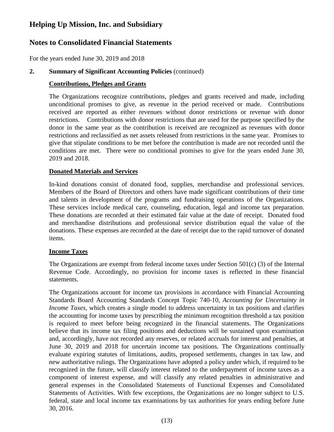## **Notes to Consolidated Financial Statements**

For the years ended June 30, 2019 and 2018

### **2. Summary of Significant Accounting Policies** (continued)

### **Contributions, Pledges and Grants**

The Organizations recognize contributions, pledges and grants received and made, including unconditional promises to give, as revenue in the period received or made. Contributions received are reported as either revenues without donor restrictions or revenue with donor restrictions. Contributions with donor restrictions that are used for the purpose specified by the donor in the same year as the contribution is received are recognized as revenues with donor restrictions and reclassified as net assets released from restrictions in the same year. Promises to give that stipulate conditions to be met before the contribution is made are not recorded until the conditions are met. There were no conditional promises to give for the years ended June 30, 2019 and 2018.

### **Donated Materials and Services**

In-kind donations consist of donated food, supplies, merchandise and professional services. Members of the Board of Directors and others have made significant contributions of their time and talents in development of the programs and fundraising operations of the Organizations. These services include medical care, counseling, education, legal and income tax preparation. These donations are recorded at their estimated fair value at the date of receipt. Donated food and merchandise distributions and professional service distribution equal the value of the donations. These expenses are recorded at the date of receipt due to the rapid turnover of donated items.

### **Income Taxes**

The Organizations are exempt from federal income taxes under Section 501(c) (3) of the Internal Revenue Code. Accordingly, no provision for income taxes is reflected in these financial statements.

The Organizations account for income tax provisions in accordance with Financial Accounting Standards Board Accounting Standards Concept Topic 740-10, *Accounting for Uncertainty in Income Taxes*, which creates a single model to address uncertainty in tax positions and clarifies the accounting for income taxes by prescribing the minimum recognition threshold a tax position is required to meet before being recognized in the financial statements. The Organizations believe that its income tax filing positions and deductions will be sustained upon examination and, accordingly, have not recorded any reserves, or related accruals for interest and penalties, at June 30, 2019 and 2018 for uncertain income tax positions. The Organizations continually evaluate expiring statutes of limitations, audits, proposed settlements, changes in tax law, and new authoritative rulings. The Organizations have adopted a policy under which, if required to be recognized in the future, will classify interest related to the underpayment of income taxes as a component of interest expense, and will classify any related penalties in administrative and general expenses in the Consolidated Statements of Functional Expenses and Consolidated Statements of Activities. With few exceptions, the Organizations are no longer subject to U.S. federal, state and local income tax examinations by tax authorities for years ending before June 30, 2016.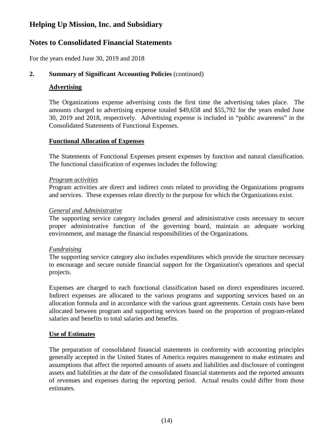### **Notes to Consolidated Financial Statements**

For the years ended June 30, 2019 and 2018

### **2. Summary of Significant Accounting Policies** (continued)

### **Advertising**

The Organizations expense advertising costs the first time the advertising takes place. The amounts charged to advertising expense totaled \$49,658 and \$55,792 for the years ended June 30, 2019 and 2018, respectively. Advertising expense is included in "public awareness" in the Consolidated Statements of Functional Expenses.

### **Functional Allocation of Expenses**

The Statements of Functional Expenses present expenses by function and natural classification. The functional classification of expenses includes the following:

### *Program activities*

Program activities are direct and indirect costs related to providing the Organizations programs and services. These expenses relate directly to the purpose for which the Organizations exist.

### *General and Administrative*

The supporting service category includes general and administrative costs necessary to secure proper administrative function of the governing board, maintain an adequate working environment, and manage the financial responsibilities of the Organizations.

### *Fundraising*

The supporting service category also includes expenditures which provide the structure necessary to encourage and secure outside financial support for the Organization's operations and special projects.

Expenses are charged to each functional classification based on direct expenditures incurred. Indirect expenses are allocated to the various programs and supporting services based on an allocation formula and in accordance with the various grant agreements. Certain costs have been allocated between program and supporting services based on the proportion of program-related salaries and benefits to total salaries and benefits.

### **Use of Estimates**

The preparation of consolidated financial statements in conformity with accounting principles generally accepted in the United States of America requires management to make estimates and assumptions that affect the reported amounts of assets and liabilities and disclosure of contingent assets and liabilities at the date of the consolidated financial statements and the reported amounts of revenues and expenses during the reporting period. Actual results could differ from those estimates.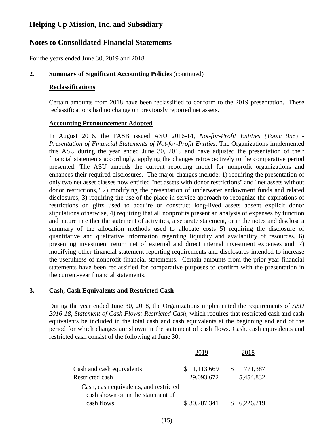### **Notes to Consolidated Financial Statements**

For the years ended June 30, 2019 and 2018

### **2. Summary of Significant Accounting Policies** (continued)

#### **Reclassifications**

Certain amounts from 2018 have been reclassified to conform to the 2019 presentation. These reclassifications had no change on previously reported net assets.

### **Accounting Pronouncement Adopted**

In August 2016, the FASB issued ASU 2016-14*, Not-for-Profit Entities (Topic* 958) - *Presentation of Financial Statements of Not-for-Profit Entities.* The Organizations implemented this ASU during the year ended June 30, 2019 and have adjusted the presentation of their financial statements accordingly, applying the changes retrospectively to the comparative period presented. The ASU amends the current reporting model for nonprofit organizations and enhances their required disclosures. The major changes include: 1) requiring the presentation of only two net asset classes now entitled "net assets with donor restrictions" and "net assets without donor restrictions," 2) modifying the presentation of underwater endowment funds and related disclosures, 3) requiring the use of the place in service approach to recognize the expirations of restrictions on gifts used to acquire or construct long-lived assets absent explicit donor stipulations otherwise, 4) requiring that all nonprofits present an analysis of expenses by function and nature in either the statement of activities, a separate statement, or in the notes and disclose a summary of the allocation methods used to allocate costs 5) requiring the disclosure of quantitative and qualitative information regarding liquidity and availability of resources, 6) presenting investment return net of external and direct internal investment expenses and, 7) modifying other financial statement reporting requirements and disclosures intended to increase the usefulness of nonprofit financial statements. Certain amounts from the prior year financial statements have been reclassified for comparative purposes to confirm with the presentation in the current-year financial statements.

### **3. Cash, Cash Equivalents and Restricted Cash**

During the year ended June 30, 2018, the Organizations implemented the requirements of *ASU 2016-18, Statement of Cash Flows: Restricted Cash*, which requires that restricted cash and cash equivalents be included in the total cash and cash equivalents at the beginning and end of the period for which changes are shown in the statement of cash flows. Cash, cash equivalents and restricted cash consist of the following at June 30:

| Cash and cash equivalents                                                   | 1,113,669<br>S. | <b>S</b> | 771,387   |
|-----------------------------------------------------------------------------|-----------------|----------|-----------|
| Restricted cash                                                             | 29,093,672      |          | 5,454,832 |
| Cash, cash equivalents, and restricted<br>cash shown on in the statement of |                 |          |           |
| cash flows                                                                  | \$30,207,341    |          | 6,226,219 |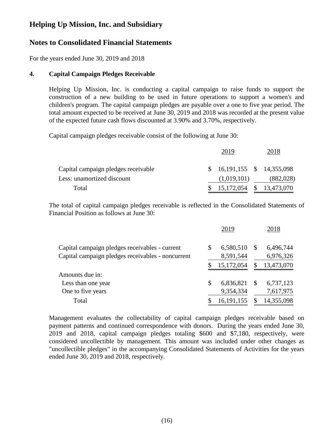### **Notes to Consolidated Financial Statements**

For the years ended June 30, 2019 and 2018

### **4. Capital Campaign Pledges Receivable**

Helping Up Mission, Inc. is conducting a capital campaign to raise funds to support the construction of a new building to be used in future operations to support a women's and children's program. The capital campaign pledges are payable over a one to five year period. The total amount expected to be received at June 30, 2019 and 2018 was recorded at the present value of the expected future cash flows discounted at 3.90% and 3.70%, respectively.

Capital campaign pledges receivable consist of the following at June 30:

|                                     | 2019                            | 2018      |
|-------------------------------------|---------------------------------|-----------|
| Capital campaign pledges receivable | $$16,191,155 \quad $14,355,098$ |           |
| Less: unamortized discount          | (1,019,101)                     | (882,028) |
| Total                               | $$15,172,054$ $$13,473,070$     |           |

The total of capital campaign pledges receivable is reflected in the Consolidated Statements of Financial Position as follows at June 30:

|                                                   | 2019            |    | 2018       |
|---------------------------------------------------|-----------------|----|------------|
| Capital campaign pledges receivables - current    | \$<br>6,580,510 | S  | 6,496,744  |
| Capital campaign pledges receivables - noncurrent | 8,591,544       |    | 6,976,326  |
|                                                   | 15,172,054      | S  | 13,473,070 |
| Amounts due in:                                   |                 |    |            |
| Less than one year                                | \$<br>6,836,821 | \$ | 6,737,123  |
| One to five years                                 | 9,354,334       |    | 7,617,975  |
| Total                                             | 16,191,155      |    | 14,355,098 |

Management evaluates the collectability of capital campaign pledges receivable based on payment patterns and continued correspondence with donors. During the years ended June 30, 2019 and 2018, capital campaign pledges totaling \$600 and \$7,180, respectively, were considered uncollectible by management. This amount was included under other changes as "uncollectible pledges" in the accompanying Consolidated Statements of Activities for the years ended June 30, 2019 and 2018, respectively.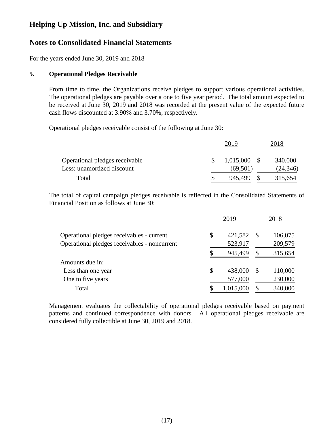### **Notes to Consolidated Financial Statements**

For the years ended June 30, 2019 and 2018

### **5. Operational Pledges Receivable**

From time to time, the Organizations receive pledges to support various operational activities. The operational pledges are payable over a one to five year period. The total amount expected to be received at June 30, 2019 and 2018 was recorded at the present value of the expected future cash flows discounted at 3.90% and 3.70%, respectively.

Operational pledges receivable consist of the following at June 30:

|                                | 2019           | 2018      |
|--------------------------------|----------------|-----------|
| Operational pledges receivable | $1,015,000$ \$ | 340,000   |
| Less: unamortized discount     | (69, 501)      | (24, 346) |
| Total                          | 945,499        | 315,654   |

The total of capital campaign pledges receivable is reflected in the Consolidated Statements of Financial Position as follows at June 30:

|                                              | 2019          |               | 2018    |
|----------------------------------------------|---------------|---------------|---------|
| Operational pledges receivables - current    | \$<br>421,582 | <sup>\$</sup> | 106,075 |
| Operational pledges receivables - noncurrent | 523,917       |               | 209,579 |
|                                              | 945,499       | \$            | 315,654 |
| Amounts due in:                              |               |               |         |
| Less than one year                           | \$<br>438,000 | <sup>\$</sup> | 110,000 |
| One to five years                            | 577,000       |               | 230,000 |
| Total                                        | 1,015,000     | \$            | 340,000 |

Management evaluates the collectability of operational pledges receivable based on payment patterns and continued correspondence with donors. All operational pledges receivable are considered fully collectible at June 30, 2019 and 2018.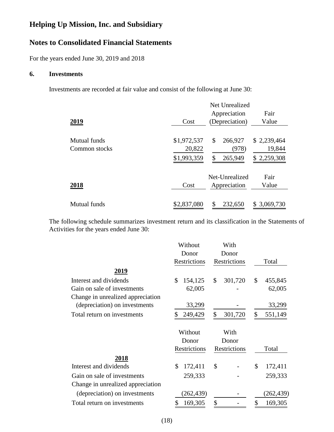## **Notes to Consolidated Financial Statements**

For the years ended June 30, 2019 and 2018

### **6. Investments**

Investments are recorded at fair value and consist of the following at June 30:

| 2019                          | Cost                                 | Net Unrealized<br>Appreciation<br>(Depreciation) | Fair<br>Value                        |
|-------------------------------|--------------------------------------|--------------------------------------------------|--------------------------------------|
| Mutual funds<br>Common stocks | \$1,972,537<br>20,822<br>\$1,993,359 | \$<br>266,927<br>(978)<br>265,949<br>\$          | \$2,239,464<br>19,844<br>\$2,259,308 |
| 2018                          | Cost                                 | Net-Unrealized<br>Appreciation                   | Fair<br>Value                        |
| Mutual funds                  | \$2,837,080                          | \$<br>232,650                                    | \$3,069,730                          |

The following schedule summarizes investment return and its classification in the Statements of Activities for the years ended June 30:

|                                   | Without       | With          |               |
|-----------------------------------|---------------|---------------|---------------|
|                                   | Donor         | Donor         |               |
|                                   | Restrictions  | Restrictions  | Total         |
| <u>2019</u>                       |               |               |               |
| Interest and dividends            | \$<br>154,125 | \$<br>301,720 | \$<br>455,845 |
| Gain on sale of investments       | 62,005        |               | 62,005        |
| Change in unrealized appreciation |               |               |               |
| (depreciation) on investments     | 33,299        |               | 33,299        |
| Total return on investments       | 249,429<br>\$ | \$<br>301,720 | \$<br>551,149 |
|                                   |               |               |               |
|                                   | Without       | With          |               |
|                                   | Donor         | Donor         |               |
|                                   | Restrictions  | Restrictions  | Total         |
| 2018                              |               |               |               |
| Interest and dividends            | \$<br>172,411 | \$            | \$<br>172,411 |
| Gain on sale of investments       | 259,333       |               | 259,333       |
| Change in unrealized appreciation |               |               |               |
| (depreciation) on investments     | (262, 439)    |               | (262,439)     |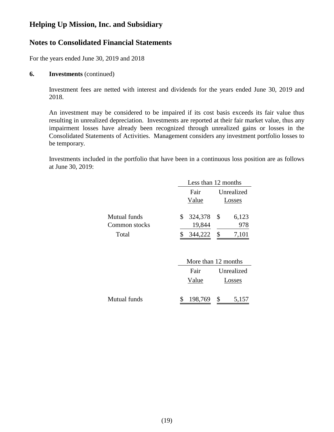### **Notes to Consolidated Financial Statements**

For the years ended June 30, 2019 and 2018

#### **6. Investments** (continued)

Investment fees are netted with interest and dividends for the years ended June 30, 2019 and 2018.

An investment may be considered to be impaired if its cost basis exceeds its fair value thus resulting in unrealized depreciation. Investments are reported at their fair market value, thus any impairment losses have already been recognized through unrealized gains or losses in the Consolidated Statements of Activities. Management considers any investment portfolio losses to be temporary.

Investments included in the portfolio that have been in a continuous loss position are as follows at June 30, 2019:

|               |   | Less than 12 months |      |            |  |
|---------------|---|---------------------|------|------------|--|
|               |   | Fair                |      | Unrealized |  |
|               |   | Value               |      | Losses     |  |
| Mutual funds  | S | 324,378             | - \$ | 6,123      |  |
| Common stocks |   | 19,844              |      | 978        |  |
| Total         |   | 344,222             |      | 7,101      |  |

|              |         | More than 12 months |            |  |
|--------------|---------|---------------------|------------|--|
|              | Fair    |                     | Unrealized |  |
|              | Value   | Losses              |            |  |
| Mutual funds | 198,769 | -S                  | 5,157      |  |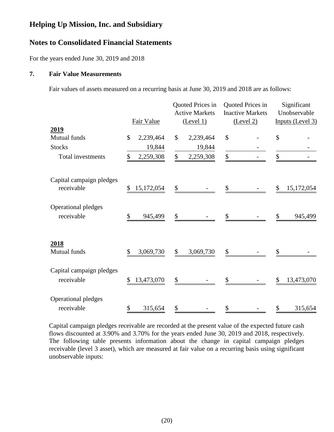### **Notes to Consolidated Financial Statements**

For the years ended June 30, 2019 and 2018

#### **7. Fair Value Measurements**

Fair values of assets measured on a recurring basis at June 30, 2019 and 2018 are as follows:

|                                        | Fair Value                 | Quoted Prices in<br><b>Active Markets</b><br>(Level 1) | Quoted Prices in<br><b>Inactive Markets</b><br>(Level 2) | Significant<br>Unobservable<br>Inputs (Level 3) |
|----------------------------------------|----------------------------|--------------------------------------------------------|----------------------------------------------------------|-------------------------------------------------|
| <u>2019</u><br>Mutual funds            | $\mathcal{S}$<br>2,239,464 | \$<br>2,239,464                                        | \$                                                       | \$                                              |
| <b>Stocks</b>                          | 19,844                     | 19,844                                                 |                                                          |                                                 |
| Total investments                      | 2,259,308<br>\$            | 2,259,308<br>\$                                        | \$                                                       | \$                                              |
| Capital campaign pledges<br>receivable | 15,172,054<br>\$           | \$                                                     | \$                                                       | 15,172,054<br>\$                                |
| Operational pledges<br>receivable      | \$<br>945,499              | \$                                                     | \$                                                       | 945,499<br>\$                                   |
| 2018<br>Mutual funds                   | \$<br>3,069,730            | \$<br>3,069,730                                        | \$                                                       |                                                 |
| Capital campaign pledges<br>receivable | 13,473,070<br>\$           | \$                                                     | \$                                                       | 13,473,070<br>\$                                |
| Operational pledges<br>receivable      | \$<br>315,654              | \$                                                     | \$                                                       | \$<br>315,654                                   |

Capital campaign pledges receivable are recorded at the present value of the expected future cash flows discounted at 3.90% and 3.70% for the years ended June 30, 2019 and 2018, respectively. The following table presents information about the change in capital campaign pledges receivable (level 3 asset), which are measured at fair value on a recurring basis using significant unobservable inputs: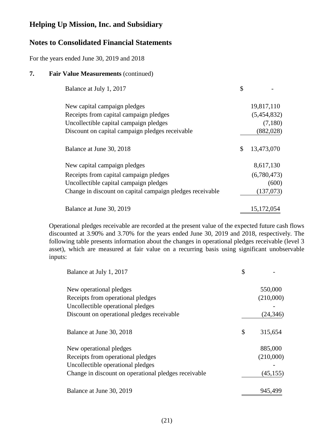### **Notes to Consolidated Financial Statements**

For the years ended June 30, 2019 and 2018

### **7. Fair Value Measurements** (continued)

| Balance at July 1, 2017                                   |                  |
|-----------------------------------------------------------|------------------|
| New capital campaign pledges                              | 19,817,110       |
| Receipts from capital campaign pledges                    | (5,454,832)      |
| Uncollectible capital campaign pledges                    | (7,180)          |
| Discount on capital campaign pledges receivable           | (882, 028)       |
| Balance at June 30, 2018                                  | \$<br>13,473,070 |
| New capital campaign pledges                              | 8,617,130        |
| Receipts from capital campaign pledges                    | (6,780,473)      |
| Uncollectible capital campaign pledges                    | (600)            |
| Change in discount on capital campaign pledges receivable | (137,073)        |
| Balance at June 30, 2019                                  | 15, 172, 054     |

Operational pledges receivable are recorded at the present value of the expected future cash flows discounted at 3.90% and 3.70% for the years ended June 30, 2019 and 2018, respectively. The following table presents information about the changes in operational pledges receivable (level 3 asset), which are measured at fair value on a recurring basis using significant unobservable inputs:

| Balance at July 1, 2017                              | \$            |
|------------------------------------------------------|---------------|
| New operational pledges                              | 550,000       |
| Receipts from operational pledges                    | (210,000)     |
| Uncollectible operational pledges                    |               |
| Discount on operational pledges receivable           | (24, 346)     |
| Balance at June 30, 2018                             | \$<br>315,654 |
| New operational pledges                              | 885,000       |
| Receipts from operational pledges                    | (210,000)     |
| Uncollectible operational pledges                    |               |
| Change in discount on operational pledges receivable | (45, 155)     |
| Balance at June 30, 2019                             | 945,499       |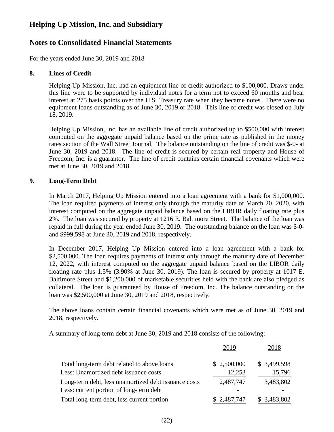### **Notes to Consolidated Financial Statements**

For the years ended June 30, 2019 and 2018

### **8. Lines of Credit**

Helping Up Mission, Inc. had an equipment line of credit authorized to \$100,000. Draws under this line were to be supported by individual notes for a term not to exceed 60 months and bear interest at 275 basis points over the U.S. Treasury rate when they became notes. There were no equipment loans outstanding as of June 30, 2019 or 2018. This line of credit was closed on July 18, 2019.

Helping Up Mission, Inc. has an available line of credit authorized up to \$500,000 with interest computed on the aggregate unpaid balance based on the prime rate as published in the money rates section of the Wall Street Journal. The balance outstanding on the line of credit was \$-0- at June 30, 2019 and 2018. The line of credit is secured by certain real property and House of Freedom, Inc. is a guarantor. The line of credit contains certain financial covenants which were met at June 30, 2019 and 2018.

### **9. Long-Term Debt**

In March 2017, Helping Up Mission entered into a loan agreement with a bank for \$1,000,000. The loan required payments of interest only through the maturity date of March 20, 2020, with interest computed on the aggregate unpaid balance based on the LIBOR daily floating rate plus 2%. The loan was secured by property at 1216 E. Baltimore Street. The balance of the loan was repaid in full during the year ended June 30, 2019. The outstanding balance on the loan was \$-0 and \$999,598 at June 30, 2019 and 2018, respectively.

In December 2017, Helping Up Mission entered into a loan agreement with a bank for \$2,500,000. The loan requires payments of interest only through the maturity date of December 12, 2022, with interest computed on the aggregate unpaid balance based on the LIBOR daily floating rate plus 1.5% (3.90% at June 30, 2019). The loan is secured by property at 1017 E. Baltimore Street and \$1,200,000 of marketable securities held with the bank are also pledged as collateral. The loan is guaranteed by House of Freedom, Inc. The balance outstanding on the loan was \$2,500,000 at June 30, 2019 and 2018, respectively.

The above loans contain certain financial covenants which were met as of June 30, 2019 and 2018, respectively.

A summary of long-term debt at June 30, 2019 and 2018 consists of the following:

|                                                      | 2019        | 2018        |
|------------------------------------------------------|-------------|-------------|
| Total long-term debt related to above loans          | \$2,500,000 | \$3,499,598 |
| Less: Unamortized debt issuance costs                | 12,253      | 15,796      |
| Long-term debt, less unamortized debt issuance costs | 2,487,747   | 3,483,802   |
| Less: current portion of long-term debt              |             |             |
| Total long-term debt, less current portion           | \$2,487,747 | \$3,483,802 |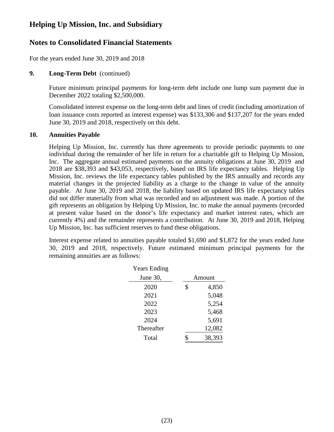### **Notes to Consolidated Financial Statements**

For the years ended June 30, 2019 and 2018

### **9. Long-Term Debt** (continued)

Future minimum principal payments for long-term debt include one lump sum payment due in December 2022 totaling \$2,500,000.

Consolidated interest expense on the long-term debt and lines of credit (including amortization of loan issuance costs reported as interest expense) was \$133,306 and \$137,207 for the years ended June 30, 2019 and 2018, respectively on this debt.

### **10. Annuities Payable**

Helping Up Mission, Inc. currently has three agreements to provide periodic payments to one individual during the remainder of her life in return for a charitable gift to Helping Up Mission, Inc. The aggregate annual estimated payments on the annuity obligations at June 30, 2019 and 2018 are \$38,393 and \$43,053, respectively, based on IRS life expectancy tables. Helping Up Mission, Inc. reviews the life expectancy tables published by the IRS annually and records any material changes in the projected liability as a charge to the change in value of the annuity payable. At June 30, 2019 and 2018, the liability based on updated IRS life expectancy tables did not differ materially from what was recorded and no adjustment was made. A portion of the gift represents an obligation by Helping Up Mission, Inc. to make the annual payments (recorded at present value based on the donor's life expectancy and market interest rates, which are currently 4%) and the remainder represents a contribution. At June 30, 2019 and 2018, Helping Up Mission, Inc. has sufficient reserves to fund these obligations.

Interest expense related to annuities payable totaled \$1,690 and \$1,872 for the years ended June 30, 2019 and 2018, respectively. Future estimated minimum principal payments for the remaining annuities are as follows:

| <b>Years Ending</b> |             |
|---------------------|-------------|
| June 30,            | Amount      |
| 2020                | \$<br>4,850 |
| 2021                | 5,048       |
| 2022                | 5,254       |
| 2023                | 5,468       |
| 2024                | 5,691       |
| Thereafter          | 12,082      |
| Total               | 38,393      |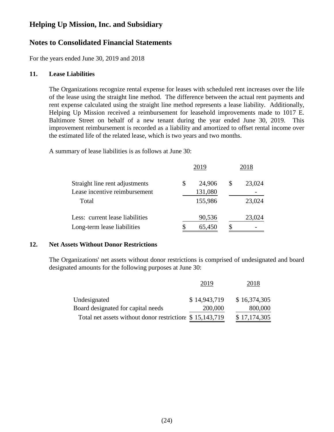### **Notes to Consolidated Financial Statements**

For the years ended June 30, 2019 and 2018

#### **11. Lease Liabilities**

The Organizations recognize rental expense for leases with scheduled rent increases over the life of the lease using the straight line method. The difference between the actual rent payments and rent expense calculated using the straight line method represents a lease liability. Additionally, Helping Up Mission received a reimbursement for leasehold improvements made to 1017 E. Baltimore Street on behalf of a new tenant during the year ended June 30, 2019. This improvement reimbursement is recorded as a liability and amortized to offset rental income over the estimated life of the related lease, which is two years and two months.

A summary of lease liabilities is as follows at June 30:

|                                 | 2019         | 2018         |
|---------------------------------|--------------|--------------|
| Straight line rent adjustments  | \$<br>24,906 | \$<br>23,024 |
| Lease incentive reimbursement   | 131,080      |              |
| Total                           | 155,986      | 23,024       |
| Less: current lease liabilities | 90,536       | 23,024       |
| Long-term lease liabilities     | 65,450       |              |

#### **12. Net Assets Without Donor Restrictions**

The Organizations' net assets without donor restrictions is comprised of undesignated and board designated amounts for the following purposes at June 30:

|                                                          | 2019         | 2018         |
|----------------------------------------------------------|--------------|--------------|
| Undesignated                                             | \$14,943,719 | \$16,374,305 |
| Board designated for capital needs                       | 200,000      | 800,000      |
| Total net assets without donor restriction: \$15,143,719 |              | \$17,174,305 |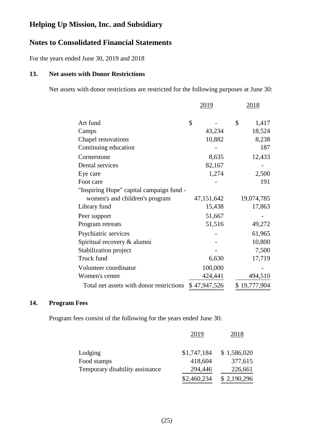### **Notes to Consolidated Financial Statements**

For the years ended June 30, 2019 and 2018

### **13. Net assets with Donor Restrictions**

Net assets with donor restrictions are restricted for the following purposes at June 30:

|                                          | 2019         | <u> 2018 </u> |  |  |
|------------------------------------------|--------------|---------------|--|--|
|                                          |              |               |  |  |
| Art fund                                 | \$           | \$<br>1,417   |  |  |
| Camps                                    | 43,234       | 18,524        |  |  |
| Chapel renovations                       | 10,882       | 8,238         |  |  |
| Continuing education                     |              | 187           |  |  |
| Cornerstone                              | 8,635        | 12,433        |  |  |
| Dental services                          | 82,167       |               |  |  |
| Eye care                                 | 1,274        | 2,500         |  |  |
| Foot care                                |              | 191           |  |  |
| "Inspiring Hope" capital campaign fund - |              |               |  |  |
| women's and children's program           | 47,151,642   | 19,074,785    |  |  |
| Library fund                             | 15,438       | 17,863        |  |  |
| Peer support                             | 51,667       |               |  |  |
| Program retreats                         | 51,516       | 49,272        |  |  |
| Psychiatric services                     |              | 61,965        |  |  |
| Spiritual recovery & alumni              |              | 10,800        |  |  |
| Stabilization project                    |              | 7,500         |  |  |
| Truck fund                               | 6,630        | 17,719        |  |  |
| Volunteer coordinator                    | 100,000      |               |  |  |
| Women's center                           | 424,441      | 494,510       |  |  |
| Total net assets with donor restrictions | \$47,947,526 | \$19,777,904  |  |  |

### **14. Program Fees**

Program fees consist of the following for the years ended June 30:

|                                 | 2019        | 2018        |
|---------------------------------|-------------|-------------|
| Lodging                         | \$1,747,184 | \$1,586,020 |
| Food stamps                     | 418,604     | 377,615     |
| Temporary disability assistance | 294,446     | 226,661     |
|                                 | \$2,460,234 | \$2,190,296 |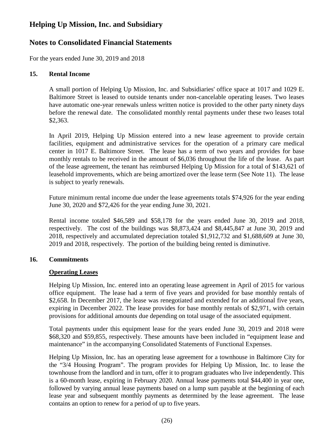### **Notes to Consolidated Financial Statements**

For the years ended June 30, 2019 and 2018

### **15. Rental Income**

A small portion of Helping Up Mission, Inc. and Subsidiaries' office space at 1017 and 1029 E. Baltimore Street is leased to outside tenants under non-cancelable operating leases. Two leases have automatic one-year renewals unless written notice is provided to the other party ninety days before the renewal date. The consolidated monthly rental payments under these two leases total \$2,363.

In April 2019, Helping Up Mission entered into a new lease agreement to provide certain facilities, equipment and administrative services for the operation of a primary care medical center in 1017 E. Baltimore Street. The lease has a term of two years and provides for base monthly rentals to be received in the amount of \$6,036 throughout the life of the lease. As part of the lease agreement, the tenant has reimbursed Helping Up Mission for a total of \$143,621 of leasehold improvements, which are being amortized over the lease term (See Note 11). The lease is subject to yearly renewals.

Future minimum rental income due under the lease agreements totals \$74,926 for the year ending June 30, 2020 and \$72,426 for the year ending June 30, 2021.

Rental income totaled \$46,589 and \$58,178 for the years ended June 30, 2019 and 2018, respectively. The cost of the buildings was \$8,873,424 and \$8,445,847 at June 30, 2019 and 2018, respectively and accumulated depreciation totaled \$1,912,732 and \$1,688,609 at June 30, 2019 and 2018, respectively. The portion of the building being rented is diminutive.

### **16. Commitments**

### **Operating Leases**

Helping Up Mission, Inc. entered into an operating lease agreement in April of 2015 for various office equipment. The lease had a term of five years and provided for base monthly rentals of \$2,658. In December 2017, the lease was renegotiated and extended for an additional five years, expiring in December 2022. The lease provides for base monthly rentals of \$2,971, with certain provisions for additional amounts due depending on total usage of the associated equipment.

Total payments under this equipment lease for the years ended June 30, 2019 and 2018 were \$68,320 and \$59,855, respectively. These amounts have been included in "equipment lease and maintenance" in the accompanying Consolidated Statements of Functional Expenses.

Helping Up Mission, Inc. has an operating lease agreement for a townhouse in Baltimore City for the "3/4 Housing Program". The program provides for Helping Up Mission, Inc. to lease the townhouse from the landlord and in turn, offer it to program graduates who live independently. This is a 60-month lease, expiring in February 2020. Annual lease payments total \$44,400 in year one, followed by varying annual lease payments based on a lump sum payable at the beginning of each lease year and subsequent monthly payments as determined by the lease agreement. The lease contains an option to renew for a period of up to five years.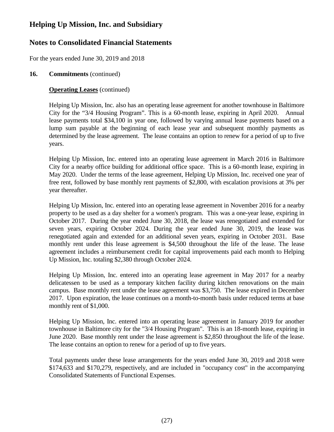## **Notes to Consolidated Financial Statements**

For the years ended June 30, 2019 and 2018

### **16. Commitments** (continued)

### **Operating Leases** (continued)

Helping Up Mission, Inc. also has an operating lease agreement for another townhouse in Baltimore City for the "3/4 Housing Program". This is a 60-month lease, expiring in April 2020. Annual lease payments total \$34,100 in year one, followed by varying annual lease payments based on a lump sum payable at the beginning of each lease year and subsequent monthly payments as determined by the lease agreement. The lease contains an option to renew for a period of up to five years.

Helping Up Mission, Inc. entered into an operating lease agreement in March 2016 in Baltimore City for a nearby office building for additional office space. This is a 60-month lease, expiring in May 2020. Under the terms of the lease agreement, Helping Up Mission, Inc. received one year of free rent, followed by base monthly rent payments of \$2,800, with escalation provisions at 3% per year thereafter.

Helping Up Mission, Inc. entered into an operating lease agreement in November 2016 for a nearby property to be used as a day shelter for a women's program. This was a one-year lease, expiring in October 2017. During the year ended June 30, 2018, the lease was renegotiated and extended for seven years, expiring October 2024. During the year ended June 30, 2019, the lease was renegotiated again and extended for an additional seven years, expiring in October 2031. Base monthly rent under this lease agreement is \$4,500 throughout the life of the lease. The lease agreement includes a reimbursement credit for capital improvements paid each month to Helping Up Mission, Inc. totaling \$2,380 through October 2024.

Helping Up Mission, Inc. entered into an operating lease agreement in May 2017 for a nearby delicatessen to be used as a temporary kitchen facility during kitchen renovations on the main campus. Base monthly rent under the lease agreement was \$3,750. The lease expired in December 2017. Upon expiration, the lease continues on a month-to-month basis under reduced terms at base monthly rent of \$1,000.

Helping Up Mission, Inc. entered into an operating lease agreement in January 2019 for another townhouse in Baltimore city for the "3/4 Housing Program". This is an 18-month lease, expiring in June 2020. Base monthly rent under the lease agreement is \$2,850 throughout the life of the lease. The lease contains an option to renew for a period of up to five years.

Total payments under these lease arrangements for the years ended June 30, 2019 and 2018 were \$174,633 and \$170,279, respectively, and are included in "occupancy cost" in the accompanying Consolidated Statements of Functional Expenses.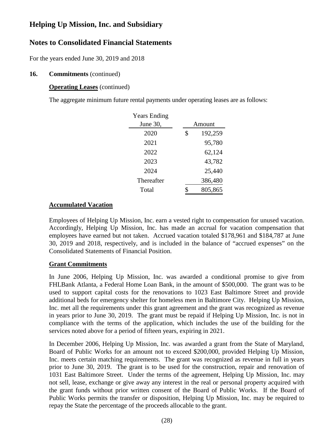## **Notes to Consolidated Financial Statements**

For the years ended June 30, 2019 and 2018

### **16. Commitments** (continued)

### **Operating Leases** (continued)

The aggregate minimum future rental payments under operating leases are as follows:

| <b>Years Ending</b> |        |         |  |
|---------------------|--------|---------|--|
| June 30,            | Amount |         |  |
| 2020                | \$     | 192,259 |  |
| 2021                |        | 95,780  |  |
| 2022                |        | 62,124  |  |
| 2023                |        | 43,782  |  |
| 2024                |        | 25,440  |  |
| Thereafter          |        | 386,480 |  |
| Total               |        | 805,865 |  |

### **Accumulated Vacation**

Employees of Helping Up Mission, Inc. earn a vested right to compensation for unused vacation. Accordingly, Helping Up Mission, Inc. has made an accrual for vacation compensation that employees have earned but not taken. Accrued vacation totaled \$178,961 and \$184,787 at June 30, 2019 and 2018, respectively, and is included in the balance of "accrued expenses" on the Consolidated Statements of Financial Position.

### **Grant Commitments**

In June 2006, Helping Up Mission, Inc. was awarded a conditional promise to give from FHLBank Atlanta, a Federal Home Loan Bank, in the amount of \$500,000. The grant was to be used to support capital costs for the renovations to 1023 East Baltimore Street and provide additional beds for emergency shelter for homeless men in Baltimore City. Helping Up Mission, Inc. met all the requirements under this grant agreement and the grant was recognized as revenue in years prior to June 30, 2019. The grant must be repaid if Helping Up Mission, Inc. is not in compliance with the terms of the application, which includes the use of the building for the services noted above for a period of fifteen years, expiring in 2021.

In December 2006, Helping Up Mission, Inc. was awarded a grant from the State of Maryland, Board of Public Works for an amount not to exceed \$200,000, provided Helping Up Mission, Inc. meets certain matching requirements. The grant was recognized as revenue in full in years prior to June 30, 2019. The grant is to be used for the construction, repair and renovation of 1031 East Baltimore Street. Under the terms of the agreement, Helping Up Mission, Inc. may not sell, lease, exchange or give away any interest in the real or personal property acquired with the grant funds without prior written consent of the Board of Public Works. If the Board of Public Works permits the transfer or disposition, Helping Up Mission, Inc. may be required to repay the State the percentage of the proceeds allocable to the grant.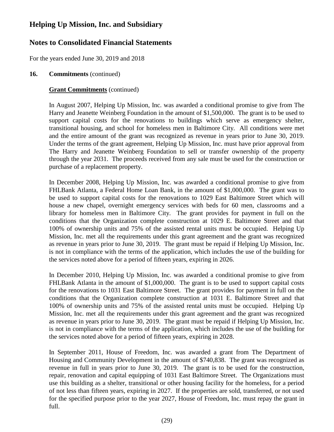## **Notes to Consolidated Financial Statements**

For the years ended June 30, 2019 and 2018

### **16. Commitments** (continued)

### **Grant Commitments** (continued)

In August 2007, Helping Up Mission, Inc. was awarded a conditional promise to give from The Harry and Jeanette Weinberg Foundation in the amount of \$1,500,000. The grant is to be used to support capital costs for the renovations to buildings which serve as emergency shelter, transitional housing, and school for homeless men in Baltimore City. All conditions were met and the entire amount of the grant was recognized as revenue in years prior to June 30, 2019. Under the terms of the grant agreement, Helping Up Mission, Inc. must have prior approval from The Harry and Jeanette Weinberg Foundation to sell or transfer ownership of the property through the year 2031. The proceeds received from any sale must be used for the construction or purchase of a replacement property.

In December 2008, Helping Up Mission, Inc. was awarded a conditional promise to give from FHLBank Atlanta, a Federal Home Loan Bank, in the amount of \$1,000,000. The grant was to be used to support capital costs for the renovations to 1029 East Baltimore Street which will house a new chapel, overnight emergency services with beds for 60 men, classrooms and a library for homeless men in Baltimore City. The grant provides for payment in full on the conditions that the Organization complete construction at 1029 E. Baltimore Street and that 100% of ownership units and 75% of the assisted rental units must be occupied. Helping Up Mission, Inc. met all the requirements under this grant agreement and the grant was recognized as revenue in years prior to June 30, 2019. The grant must be repaid if Helping Up Mission, Inc. is not in compliance with the terms of the application, which includes the use of the building for the services noted above for a period of fifteen years, expiring in 2026.

In December 2010, Helping Up Mission, Inc. was awarded a conditional promise to give from FHLBank Atlanta in the amount of \$1,000,000. The grant is to be used to support capital costs for the renovations to 1031 East Baltimore Street. The grant provides for payment in full on the conditions that the Organization complete construction at 1031 E. Baltimore Street and that 100% of ownership units and 75% of the assisted rental units must be occupied. Helping Up Mission, Inc. met all the requirements under this grant agreement and the grant was recognized as revenue in years prior to June 30, 2019. The grant must be repaid if Helping Up Mission, Inc. is not in compliance with the terms of the application, which includes the use of the building for the services noted above for a period of fifteen years, expiring in 2028.

In September 2011, House of Freedom, Inc. was awarded a grant from The Department of Housing and Community Development in the amount of \$740,838. The grant was recognized as revenue in full in years prior to June 30, 2019. The grant is to be used for the construction, repair, renovation and capital equipping of 1031 East Baltimore Street. The Organizations must use this building as a shelter, transitional or other housing facility for the homeless, for a period of not less than fifteen years, expiring in 2027. If the properties are sold, transferred, or not used for the specified purpose prior to the year 2027, House of Freedom, Inc. must repay the grant in full.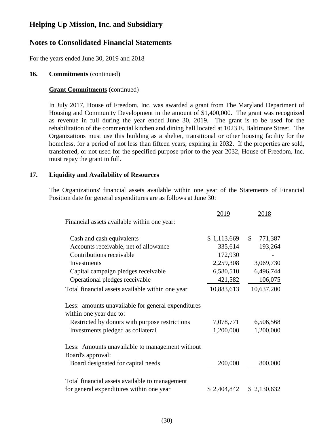### **Notes to Consolidated Financial Statements**

For the years ended June 30, 2019 and 2018

### **16. Commitments** (continued)

#### **Grant Commitments** (continued)

In July 2017, House of Freedom, Inc. was awarded a grant from The Maryland Department of Housing and Community Development in the amount of \$1,400,000. The grant was recognized as revenue in full during the year ended June 30, 2019. The grant is to be used for the rehabilitation of the commercial kitchen and dining hall located at 1023 E. Baltimore Street. The Organizations must use this building as a shelter, transitional or other housing facility for the homeless, for a period of not less than fifteen years, expiring in 2032. If the properties are sold, transferred, or not used for the specified purpose prior to the year 2032, House of Freedom, Inc. must repay the grant in full.

### **17. Liquidity and Availability of Resources**

The Organizations' financial assets available within one year of the Statements of Financial Position date for general expenditures are as follows at June 30:

|                                                                               | 2019        | 2018                     |
|-------------------------------------------------------------------------------|-------------|--------------------------|
| Financial assets available within one year:                                   |             |                          |
| Cash and cash equivalents                                                     | \$1,113,669 | $\mathcal{S}$<br>771,387 |
| Accounts receivable, net of allowance                                         | 335,614     | 193,264                  |
| Contributions receivable                                                      | 172,930     |                          |
| Investments                                                                   | 2,259,308   | 3,069,730                |
| Capital campaign pledges receivable                                           | 6,580,510   | 6,496,744                |
| Operational pledges receivable                                                | 421,582     | 106,075                  |
| Total financial assets available within one year                              | 10,883,613  | 10,637,200               |
| Less: amounts unavailable for general expenditures<br>within one year due to: |             |                          |
| Restricted by donors with purpose restrictions                                | 7,078,771   | 6,506,568                |
| Investments pledged as collateral                                             | 1,200,000   | 1,200,000                |
| Less: Amounts unavailable to management without<br>Board's approval:          |             |                          |
| Board designated for capital needs                                            | 200,000     | 800,000                  |
| Total financial assets available to management                                |             |                          |
| for general expenditures within one year                                      | \$2,404,842 | \$2,130,632              |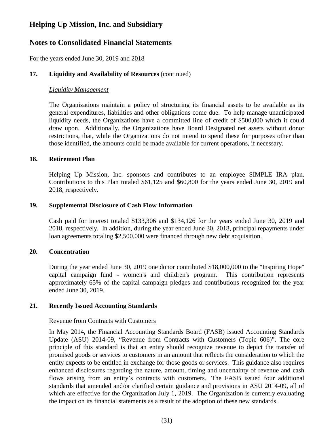### **Notes to Consolidated Financial Statements**

For the years ended June 30, 2019 and 2018

### **17. Liquidity and Availability of Resources** (continued)

#### *Liquidity Management*

The Organizations maintain a policy of structuring its financial assets to be available as its general expenditures, liabilities and other obligations come due. To help manage unanticipated liquidity needs, the Organizations have a committed line of credit of \$500,000 which it could draw upon. Additionally, the Organizations have Board Designated net assets without donor restrictions, that, while the Organizations do not intend to spend these for purposes other than those identified, the amounts could be made available for current operations, if necessary.

#### **18. Retirement Plan**

Helping Up Mission, Inc. sponsors and contributes to an employee SIMPLE IRA plan. Contributions to this Plan totaled \$61,125 and \$60,800 for the years ended June 30, 2019 and 2018, respectively.

### **19. Supplemental Disclosure of Cash Flow Information**

Cash paid for interest totaled \$133,306 and \$134,126 for the years ended June 30, 2019 and 2018, respectively. In addition, during the year ended June 30, 2018, principal repayments under loan agreements totaling \$2,500,000 were financed through new debt acquisition.

#### **20. Concentration**

During the year ended June 30, 2019 one donor contributed \$18,000,000 to the "Inspiring Hope" capital campaign fund - women's and children's program. This contribution represents approximately 65% of the capital campaign pledges and contributions recognized for the year ended June 30, 2019.

#### **21. Recently Issued Accounting Standards**

#### Revenue from Contracts with Customers

In May 2014, the Financial Accounting Standards Board (FASB) issued Accounting Standards Update (ASU) 2014-09, "Revenue from Contracts with Customers (Topic 606)". The core principle of this standard is that an entity should recognize revenue to depict the transfer of promised goods or services to customers in an amount that reflects the consideration to which the entity expects to be entitled in exchange for those goods or services. This guidance also requires enhanced disclosures regarding the nature, amount, timing and uncertainty of revenue and cash flows arising from an entity's contracts with customers. The FASB issued four additional standards that amended and/or clarified certain guidance and provisions in ASU 2014-09, all of which are effective for the Organization July 1, 2019. The Organization is currently evaluating the impact on its financial statements as a result of the adoption of these new standards.